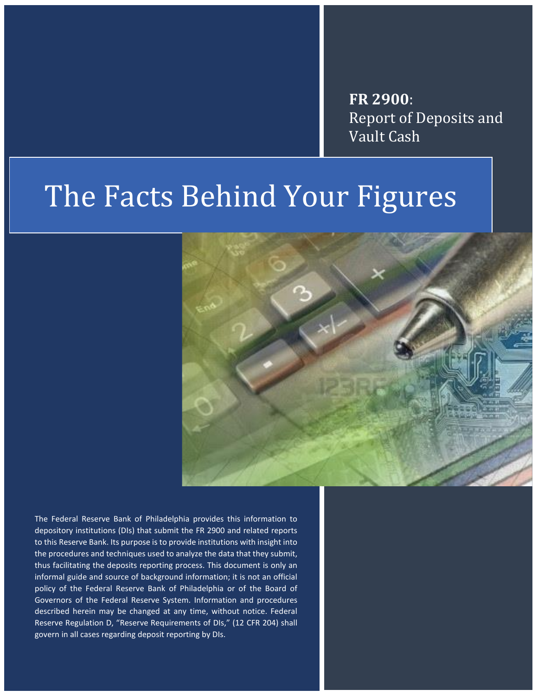**FR 2900**: Report of Deposits and Vault Cash

# The Facts Behind Your Figures



The Federal Reserve Bank of Philadelphia provides this information to depository institutions (DIs) that submit the FR 2900 and related reports to this Reserve Bank. Its purpose is to provide institutions with insight into the procedures and techniques used to analyze the data that they submit, thus facilitating the deposits reporting process. This document is only an informal guide and source of background information; it is not an official policy of the Federal Reserve Bank of Philadelphia or of the Board of Governors of the Federal Reserve System. Information and procedures described herein may be changed at any time, without notice. Federal Reserve Regulation D, "Reserve Requirements of DIs," (12 CFR 204) shall govern in all cases regarding deposit reporting by DIs.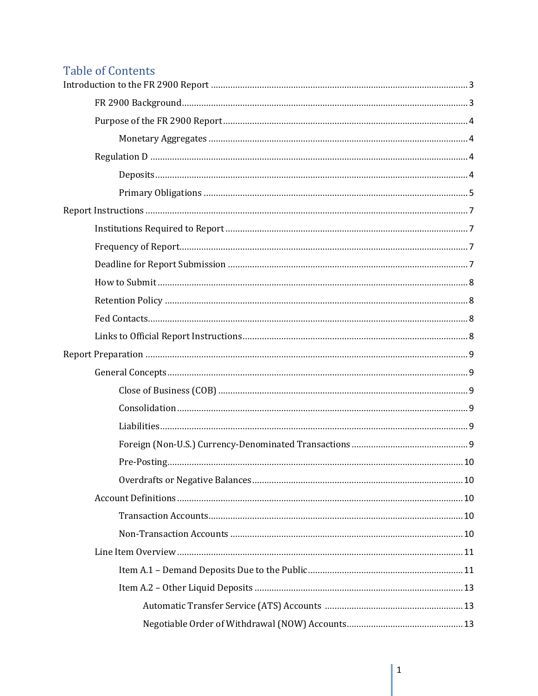## **Table of Contents**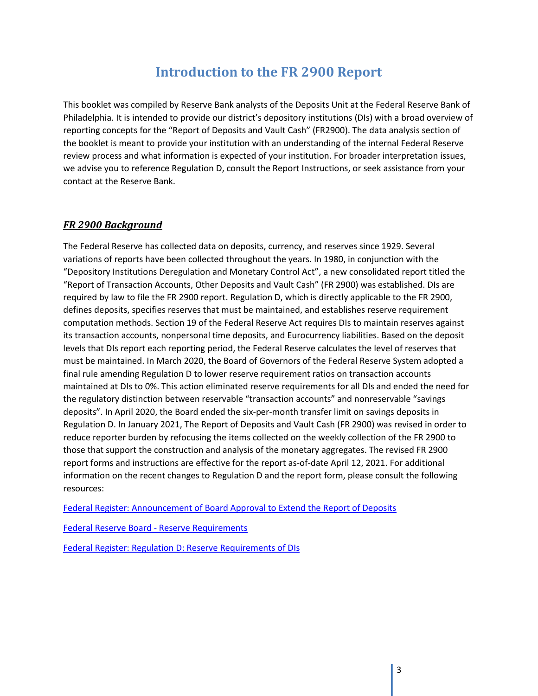## **Introduction to the FR 2900 Report**

<span id="page-3-0"></span>This booklet was compiled by Reserve Bank analysts of the Deposits Unit at the Federal Reserve Bank of Philadelphia. It is intended to provide our district's depository institutions (DIs) with a broad overview of reporting concepts for the "Report of Deposits and Vault Cash" (FR2900). The data analysis section of the booklet is meant to provide your institution with an understanding of the internal Federal Reserve review process and what information is expected of your institution. For broader interpretation issues, we advise you to reference Regulation D, consult the Report Instructions, or seek assistance from your contact at the Reserve Bank.

### <span id="page-3-1"></span>*FR 2900 Background*

The Federal Reserve has collected data on deposits, currency, and reserves since 1929. Several variations of reports have been collected throughout the years. In 1980, in conjunction with the "Depository Institutions Deregulation and Monetary Control Act", a new consolidated report titled the "Report of Transaction Accounts, Other Deposits and Vault Cash" (FR 2900) was established. DIs are required by law to file the FR 2900 report. Regulation D, which is directly applicable to the FR 2900, defines deposits, specifies reserves that must be maintained, and establishes reserve requirement computation methods. Section 19 of the Federal Reserve Act requires DIs to maintain reserves against its transaction accounts, nonpersonal time deposits, and Eurocurrency liabilities. Based on the deposit levels that DIs report each reporting period, the Federal Reserve calculates the level of reserves that must be maintained. In March 2020, the Board of Governors of the Federal Reserve System adopted a final rule amending Regulation D to lower reserve requirement ratios on transaction accounts maintained at DIs to 0%. This action eliminated reserve requirements for all DIs and ended the need for the regulatory distinction between reservable "transaction accounts" and nonreservable "savings deposits". In April 2020, the Board ended the six-per-month transfer limit on savings deposits in Regulation D. In January 2021, The Report of Deposits and Vault Cash (FR 2900) was revised in order to reduce reporter burden by refocusing the items collected on the weekly collection of the FR 2900 to those that support the construction and analysis of the monetary aggregates. The revised FR 2900 report forms and instructions are effective for the report as-of-date April 12, 2021. For additional information on the recent changes to Regulation D and the report form, please consult the following resources:

[Federal Register: Announcement of Board Approval to Extend the Report of Deposits](https://www.federalregister.gov/documents/2020/12/22/2020-28218/agency-information-collection-activities-announcement-of-board-approval-under-delegated-authority)

[Federal Reserve Board -](https://www.federalreserve.gov/monetarypolicy/reservereq.htm) Reserve Requirements

[Federal Register: Regulation D: Reserve Requirements of DIs](https://www.federalregister.gov/documents/2021/02/10/2020-28756/regulation-d-reserve-requirements-of-depository-institutions)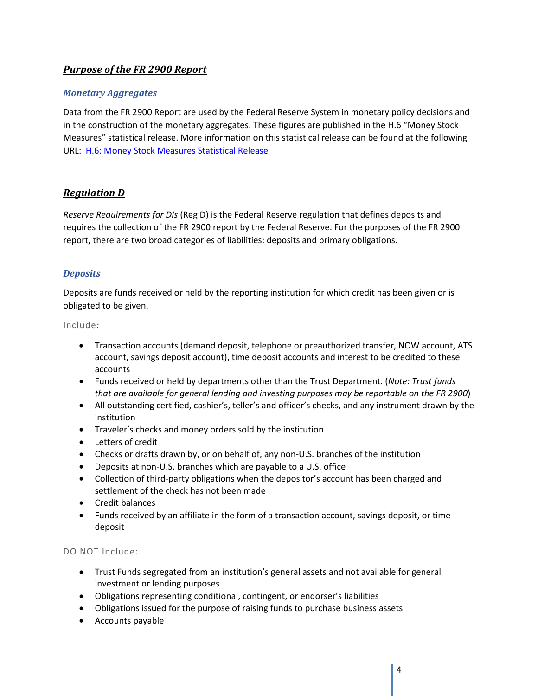### <span id="page-4-0"></span>*Purpose of the FR 2900 Report*

### <span id="page-4-1"></span>*Monetary Aggregates*

Data from the FR 2900 Report are used by the Federal Reserve System in monetary policy decisions and in the construction of the monetary aggregates. These figures are published in the H.6 "Money Stock Measures" statistical release. More information on this statistical release can be found at the following URL: [H.6: Money Stock Measures Statistical Release](https://www.federalreserve.gov/feeds/h6.html) 

### <span id="page-4-2"></span>*Regulation D*

*Reserve Requirements for DIs* (Reg D) is the Federal Reserve regulation that defines deposits and requires the collection of the FR 2900 report by the Federal Reserve. For the purposes of the FR 2900 report, there are two broad categories of liabilities: deposits and primary obligations.

### <span id="page-4-3"></span>*Deposits*

Deposits are funds received or held by the reporting institution for which credit has been given or is obligated to be given.

#### Include*:*

- Transaction accounts (demand deposit, telephone or preauthorized transfer, NOW account, ATS account, savings deposit account), time deposit accounts and interest to be credited to these accounts
- Funds received or held by departments other than the Trust Department. (*Note: Trust funds that are available for general lending and investing purposes may be reportable on the FR 2900*)
- All outstanding certified, cashier's, teller's and officer's checks, and any instrument drawn by the institution
- Traveler's checks and money orders sold by the institution
- Letters of credit
- Checks or drafts drawn by, or on behalf of, any non-U.S. branches of the institution
- Deposits at non-U.S. branches which are payable to a U.S. office
- Collection of third-party obligations when the depositor's account has been charged and settlement of the check has not been made
- Credit balances
- Funds received by an affiliate in the form of a transaction account, savings deposit, or time deposit

### DO NOT Include:

- Trust Funds segregated from an institution's general assets and not available for general investment or lending purposes
- Obligations representing conditional, contingent, or endorser's liabilities
- Obligations issued for the purpose of raising funds to purchase business assets
- Accounts payable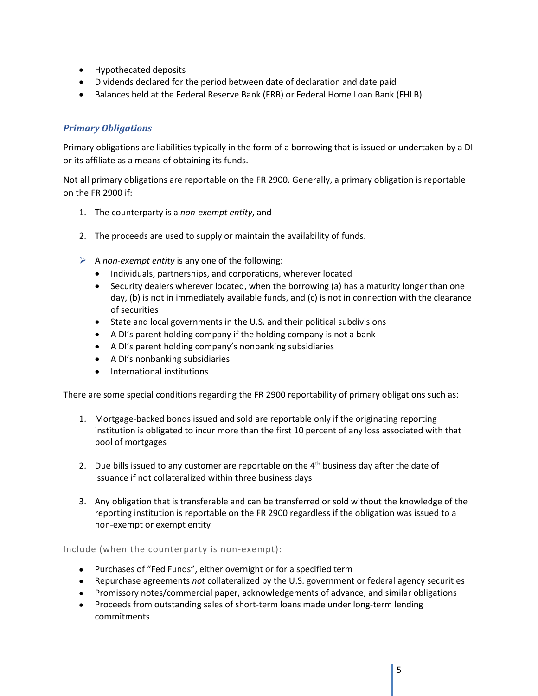- Hypothecated deposits
- Dividends declared for the period between date of declaration and date paid
- Balances held at the Federal Reserve Bank (FRB) or Federal Home Loan Bank (FHLB)

### <span id="page-5-0"></span>*Primary Obligations*

Primary obligations are liabilities typically in the form of a borrowing that is issued or undertaken by a DI or its affiliate as a means of obtaining its funds.

Not all primary obligations are reportable on the FR 2900. Generally, a primary obligation is reportable on the FR 2900 if:

- 1. The counterparty is a *non-exempt entity*, and
- 2. The proceeds are used to supply or maintain the availability of funds.
- A *non-exempt entity* is any one of the following:
	- Individuals, partnerships, and corporations, wherever located
	- Security dealers wherever located, when the borrowing (a) has a maturity longer than one day, (b) is not in immediately available funds, and (c) is not in connection with the clearance of securities
	- State and local governments in the U.S. and their political subdivisions
	- A DI's parent holding company if the holding company is not a bank
	- A DI's parent holding company's nonbanking subsidiaries
	- A DI's nonbanking subsidiaries
	- International institutions

There are some special conditions regarding the FR 2900 reportability of primary obligations such as:

- 1. Mortgage-backed bonds issued and sold are reportable only if the originating reporting institution is obligated to incur more than the first 10 percent of any loss associated with that pool of mortgages
- 2. Due bills issued to any customer are reportable on the  $4<sup>th</sup>$  business day after the date of issuance if not collateralized within three business days
- 3. Any obligation that is transferable and can be transferred or sold without the knowledge of the reporting institution is reportable on the FR 2900 regardless if the obligation was issued to a non-exempt or exempt entity

Include (when the counterparty is non-exempt):

- Purchases of "Fed Funds", either overnight or for a specified term
- Repurchase agreements *not* collateralized by the U.S. government or federal agency securities
- Promissory notes/commercial paper, acknowledgements of advance, and similar obligations
- Proceeds from outstanding sales of short-term loans made under long-term lending commitments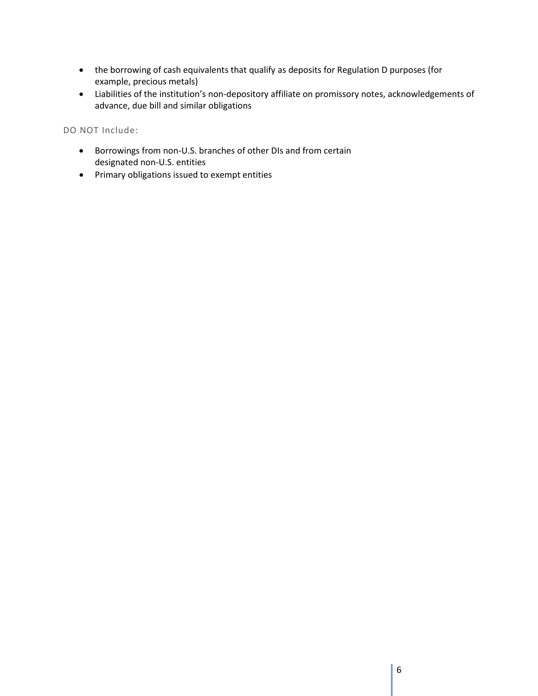- the borrowing of cash equivalents that qualify as deposits for Regulation D purposes (for example, precious metals)
- Liabilities of the institution's non-depository affiliate on promissory notes, acknowledgements of advance, due bill and similar obligations

DO NOT Include:

- Borrowings from non-U.S. branches of other DIs and from certain designated non-U.S. entities
- Primary obligations issued to exempt entities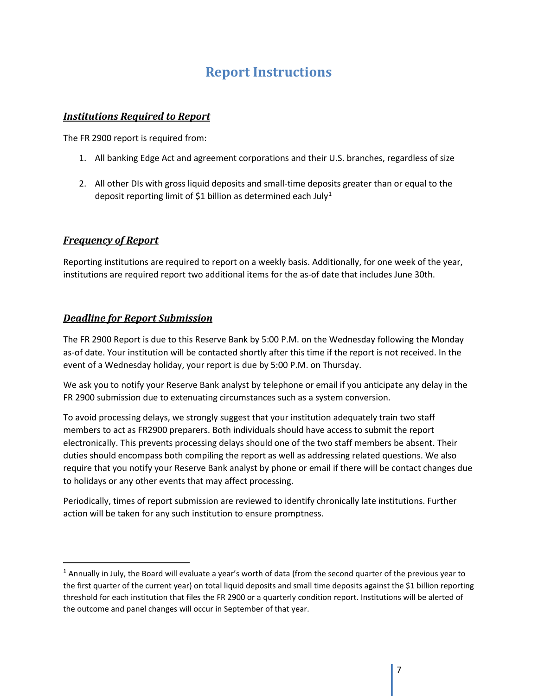## **Report Instructions**

### <span id="page-7-1"></span><span id="page-7-0"></span>*Institutions Required to Report*

The FR 2900 report is required from:

- 1. All banking Edge Act and agreement corporations and their U.S. branches, regardless of size
- 2. All other DIs with gross liquid deposits and small-time deposits greater than or equal to the deposit reporting limit of \$[1](#page-7-4) billion as determined each July<sup>1</sup>

#### <span id="page-7-2"></span>*Frequency of Report*

Reporting institutions are required to report on a weekly basis. Additionally, for one week of the year, institutions are required report two additional items for the as-of date that includes June 30th.

### <span id="page-7-3"></span>*Deadline for Report Submission*

The FR 2900 Report is due to this Reserve Bank by 5:00 P.M. on the Wednesday following the Monday as-of date. Your institution will be contacted shortly after this time if the report is not received. In the event of a Wednesday holiday, your report is due by 5:00 P.M. on Thursday.

We ask you to notify your Reserve Bank analyst by telephone or email if you anticipate any delay in the FR 2900 submission due to extenuating circumstances such as a system conversion.

To avoid processing delays, we strongly suggest that your institution adequately train two staff members to act as FR2900 preparers. Both individuals should have access to submit the report electronically. This prevents processing delays should one of the two staff members be absent. Their duties should encompass both compiling the report as well as addressing related questions. We also require that you notify your Reserve Bank analyst by phone or email if there will be contact changes due to holidays or any other events that may affect processing.

Periodically, times of report submission are reviewed to identify chronically late institutions. Further action will be taken for any such institution to ensure promptness.

<span id="page-7-4"></span> $1$  Annually in July, the Board will evaluate a year's worth of data (from the second quarter of the previous year to the first quarter of the current year) on total liquid deposits and small time deposits against the \$1 billion reporting threshold for each institution that files the FR 2900 or a quarterly condition report. Institutions will be alerted of the outcome and panel changes will occur in September of that year.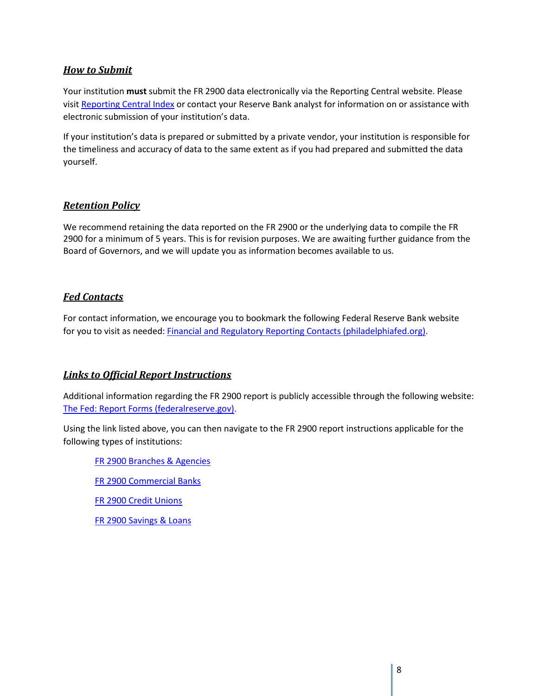### <span id="page-8-0"></span>*How to Submit*

Your institution **must** submit the FR 2900 data electronically via the Reporting Central website. Please visit [Reporting Central Index](https://www.frbservices.org/central-bank/reporting-central/index.html) or contact your Reserve Bank analyst for information on or assistance with electronic submission of your institution's data.

If your institution's data is prepared or submitted by a private vendor, your institution is responsible for the timeliness and accuracy of data to the same extent as if you had prepared and submitted the data yourself.

### <span id="page-8-1"></span>*Retention Policy*

We recommend retaining the data reported on the FR 2900 or the underlying data to compile the FR 2900 for a minimum of 5 years. This is for revision purposes. We are awaiting further guidance from the Board of Governors, and we will update you as information becomes available to us.

### <span id="page-8-2"></span>*Fed Contacts*

For contact information, we encourage you to bookmark the following Federal Reserve Bank website for you to visit as needed: [Financial and Regulatory Reporting Contacts \(philadelphiafed.org\).](https://www.philadelphiafed.org/banking/financial-and-regulatory-reporting-contacts)

### <span id="page-8-3"></span>*Links to Official Report Instructions*

Additional information regarding the FR 2900 report is publicly accessible through the following website: [The Fed: Report Forms \(federalreserve.gov\).](https://www.federalreserve.gov/apps/reportforms/default.aspx)

Using the link listed above, you can then navigate to the FR 2900 report instructions applicable for the following types of institutions:

[FR 2900 Branches & Agencies](https://www.federalreserve.gov/apps/reportforms/reportdetail.aspx?sOoYJ+5BzDb7FT6dI002n1VAFYAblVgE)

- [FR 2900 Commercial Banks](https://www.federalreserve.gov/apps/reportforms/reportdetail.aspx?sOoYJ+5BzDblI7g2+r203S0gg6NcUIj6)
- [FR 2900 Credit Unions](https://www.federalreserve.gov/apps/reportforms/reportdetail.aspx?sOoYJ+5BzDblI7g2+r203ZgzSIfTO4Op)
- [FR 2900 Savings & Loans](https://www.federalreserve.gov/apps/reportforms/reportdetail.aspx?sOoYJ+5BzDbcpimlu2puzjLO8T0krbsm)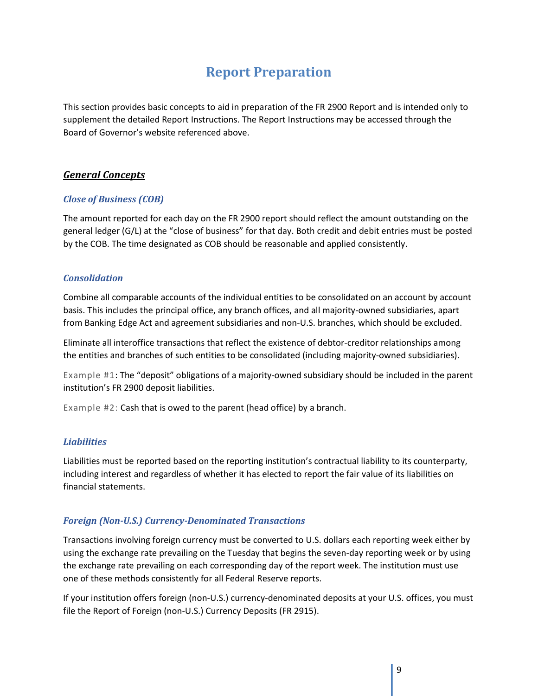## **Report Preparation**

<span id="page-9-0"></span>This section provides basic concepts to aid in preparation of the FR 2900 Report and is intended only to supplement the detailed Report Instructions. The Report Instructions may be accessed through the Board of Governor's website referenced above.

### <span id="page-9-1"></span>*General Concepts*

#### <span id="page-9-2"></span>*Close of Business (COB)*

The amount reported for each day on the FR 2900 report should reflect the amount outstanding on the general ledger (G/L) at the "close of business" for that day. Both credit and debit entries must be posted by the COB. The time designated as COB should be reasonable and applied consistently.

#### <span id="page-9-3"></span>*Consolidation*

Combine all comparable accounts of the individual entities to be consolidated on an account by account basis. This includes the principal office, any branch offices, and all majority-owned subsidiaries, apart from Banking Edge Act and agreement subsidiaries and non-U.S. branches, which should be excluded.

Eliminate all interoffice transactions that reflect the existence of debtor-creditor relationships among the entities and branches of such entities to be consolidated (including majority-owned subsidiaries).

Example #1: The "deposit" obligations of a majority-owned subsidiary should be included in the parent institution's FR 2900 deposit liabilities.

Example #2: Cash that is owed to the parent (head office) by a branch.

#### <span id="page-9-4"></span>*Liabilities*

Liabilities must be reported based on the reporting institution's contractual liability to its counterparty, including interest and regardless of whether it has elected to report the fair value of its liabilities on financial statements.

#### <span id="page-9-5"></span>*Foreign (Non-U.S.) Currency-Denominated Transactions*

Transactions involving foreign currency must be converted to U.S. dollars each reporting week either by using the exchange rate prevailing on the Tuesday that begins the seven-day reporting week or by using the exchange rate prevailing on each corresponding day of the report week. The institution must use one of these methods consistently for all Federal Reserve reports.

If your institution offers foreign (non-U.S.) currency-denominated deposits at your U.S. offices, you must file the Report of Foreign (non-U.S.) Currency Deposits (FR 2915).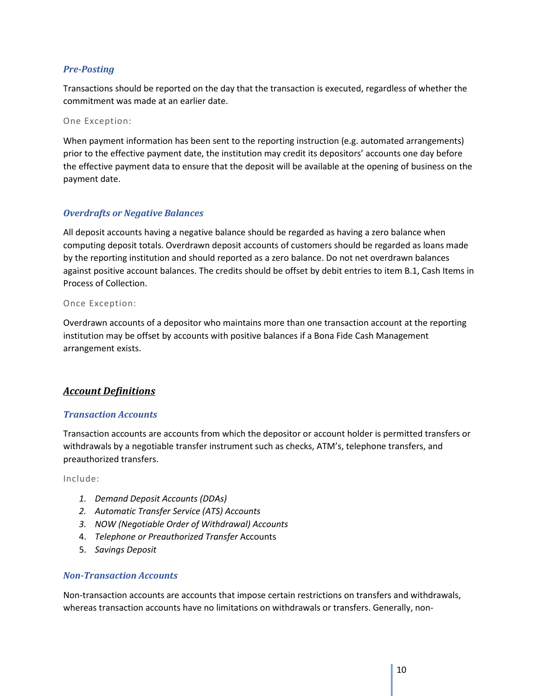### <span id="page-10-0"></span>*Pre-Posting*

Transactions should be reported on the day that the transaction is executed, regardless of whether the commitment was made at an earlier date.

One Exception:

When payment information has been sent to the reporting instruction (e.g. automated arrangements) prior to the effective payment date, the institution may credit its depositors' accounts one day before the effective payment data to ensure that the deposit will be available at the opening of business on the payment date.

#### <span id="page-10-1"></span>*Overdrafts or Negative Balances*

All deposit accounts having a negative balance should be regarded as having a zero balance when computing deposit totals. Overdrawn deposit accounts of customers should be regarded as loans made by the reporting institution and should reported as a zero balance. Do not net overdrawn balances against positive account balances. The credits should be offset by debit entries to item B.1, Cash Items in Process of Collection.

#### Once Exception:

Overdrawn accounts of a depositor who maintains more than one transaction account at the reporting institution may be offset by accounts with positive balances if a Bona Fide Cash Management arrangement exists.

### <span id="page-10-2"></span>*Account Definitions*

#### <span id="page-10-3"></span>*Transaction Accounts*

Transaction accounts are accounts from which the depositor or account holder is permitted transfers or withdrawals by a negotiable transfer instrument such as checks, ATM's, telephone transfers, and preauthorized transfers.

Include:

- *1. Demand Deposit Accounts (DDAs)*
- *2. Automatic Transfer Service (ATS) Accounts*
- *3. NOW (Negotiable Order of Withdrawal) Accounts*
- 4. *Telephone or Preauthorized Transfer* Accounts
- 5. *Savings Deposit*

#### <span id="page-10-4"></span>*Non-Transaction Accounts*

Non-transaction accounts are accounts that impose certain restrictions on transfers and withdrawals, whereas transaction accounts have no limitations on withdrawals or transfers. Generally, non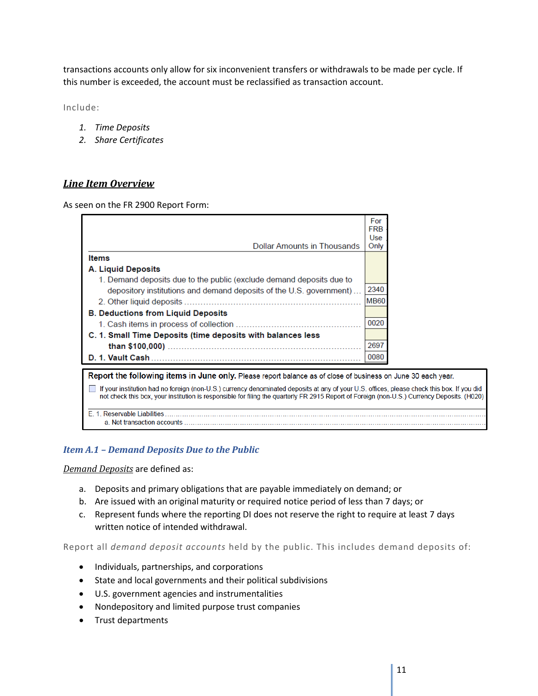transactions accounts only allow for six inconvenient transfers or withdrawals to be made per cycle. If this number is exceeded, the account must be reclassified as transaction account.

Include:

- *1. Time Deposits*
- *2. Share Certificates*

### <span id="page-11-0"></span>*Line Item Overview*

As seen on the FR 2900 Report Form:

|                                                                                                                                                                                                                                                                                           | For<br><b>FRB</b> |  |
|-------------------------------------------------------------------------------------------------------------------------------------------------------------------------------------------------------------------------------------------------------------------------------------------|-------------------|--|
|                                                                                                                                                                                                                                                                                           | Use               |  |
| <b>Dollar Amounts in Thousands</b>                                                                                                                                                                                                                                                        | Only              |  |
| Items                                                                                                                                                                                                                                                                                     |                   |  |
| A. Liquid Deposits                                                                                                                                                                                                                                                                        |                   |  |
| 1. Demand deposits due to the public (exclude demand deposits due to                                                                                                                                                                                                                      |                   |  |
| depository institutions and demand deposits of the U.S. government)                                                                                                                                                                                                                       | 2340              |  |
| 2. Other liquid deposits.                                                                                                                                                                                                                                                                 | <b>MB60</b>       |  |
| <b>B. Deductions from Liquid Deposits</b>                                                                                                                                                                                                                                                 |                   |  |
|                                                                                                                                                                                                                                                                                           | 0020              |  |
| C. 1. Small Time Deposits (time deposits with balances less                                                                                                                                                                                                                               |                   |  |
|                                                                                                                                                                                                                                                                                           | 2697              |  |
|                                                                                                                                                                                                                                                                                           | 0080              |  |
| Report the following items in June only. Please report balance as of close of business on June 30 each year.                                                                                                                                                                              |                   |  |
| If your institution had no foreign (non-U.S.) currency denominated deposits at any of your U.S. offices, please check this box. If you did<br>not check this box, your institution is responsible for filing the quarterly FR 2915 Report of Foreign (non-U.S.) Currency Deposits. (H020) |                   |  |
| F 1 Reservable Liabilities<br>a :Net transaction accounts                                                                                                                                                                                                                                 |                   |  |

### <span id="page-11-1"></span>*Item A.1 – Demand Deposits Due to the Public*

*Demand Deposits* are defined as:

- a. Deposits and primary obligations that are payable immediately on demand; or
- b. Are issued with an original maturity or required notice period of less than 7 days; or
- c. Represent funds where the reporting DI does not reserve the right to require at least 7 days written notice of intended withdrawal.

Report all *demand deposit accounts* held by the public. This includes demand deposits of:

- Individuals, partnerships, and corporations
- State and local governments and their political subdivisions
- U.S. government agencies and instrumentalities
- Nondepository and limited purpose trust companies
- Trust departments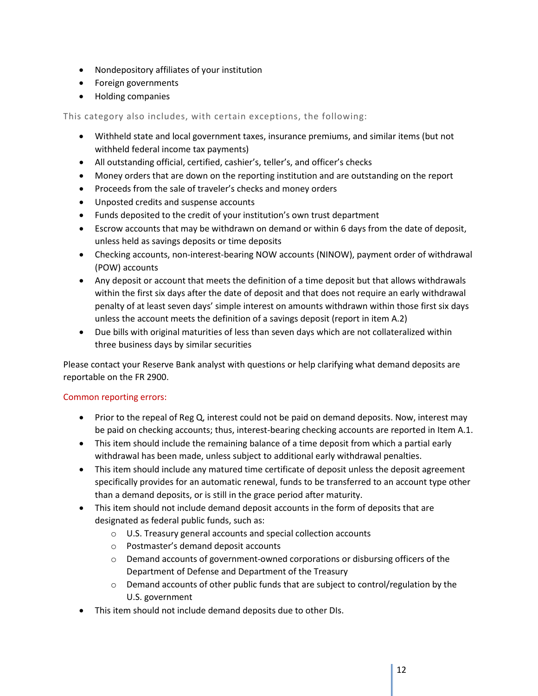- Nondepository affiliates of your institution
- Foreign governments
- Holding companies

This category also includes, with certain exceptions, the following:

- Withheld state and local government taxes, insurance premiums, and similar items (but not withheld federal income tax payments)
- All outstanding official, certified, cashier's, teller's, and officer's checks
- Money orders that are down on the reporting institution and are outstanding on the report
- Proceeds from the sale of traveler's checks and money orders
- Unposted credits and suspense accounts
- Funds deposited to the credit of your institution's own trust department
- Escrow accounts that may be withdrawn on demand or within 6 days from the date of deposit, unless held as savings deposits or time deposits
- Checking accounts, non-interest-bearing NOW accounts (NINOW), payment order of withdrawal (POW) accounts
- Any deposit or account that meets the definition of a time deposit but that allows withdrawals within the first six days after the date of deposit and that does not require an early withdrawal penalty of at least seven days' simple interest on amounts withdrawn within those first six days unless the account meets the definition of a savings deposit (report in item A.2)
- Due bills with original maturities of less than seven days which are not collateralized within three business days by similar securities

Please contact your Reserve Bank analyst with questions or help clarifying what demand deposits are reportable on the FR 2900.

### Common reporting errors:

- Prior to the repeal of Reg Q, interest could not be paid on demand deposits. Now, interest may be paid on checking accounts; thus, interest-bearing checking accounts are reported in Item A.1.
- This item should include the remaining balance of a time deposit from which a partial early withdrawal has been made, unless subject to additional early withdrawal penalties.
- This item should include any matured time certificate of deposit unless the deposit agreement specifically provides for an automatic renewal, funds to be transferred to an account type other than a demand deposits, or is still in the grace period after maturity.
- This item should not include demand deposit accounts in the form of deposits that are designated as federal public funds, such as:
	- o U.S. Treasury general accounts and special collection accounts
	- o Postmaster's demand deposit accounts
	- o Demand accounts of government-owned corporations or disbursing officers of the Department of Defense and Department of the Treasury
	- $\circ$  Demand accounts of other public funds that are subject to control/regulation by the U.S. government
- This item should not include demand deposits due to other DIs.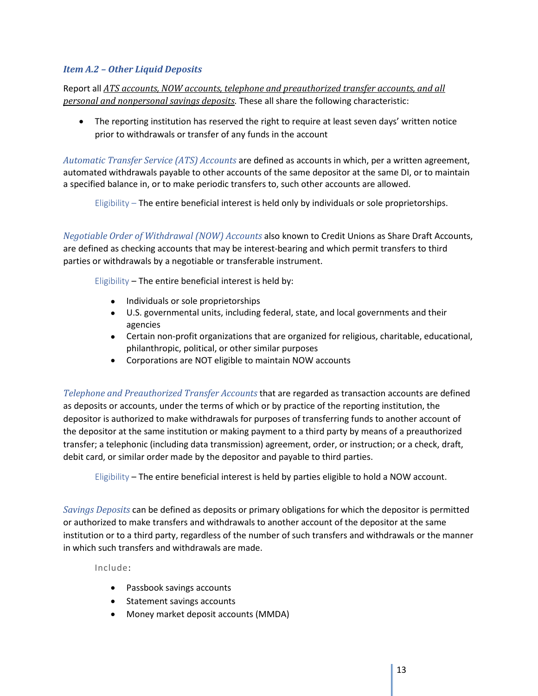### <span id="page-13-0"></span>*Item A.2 – Other Liquid Deposits*

Report all *ATS accounts, NOW accounts, telephone and preauthorized transfer accounts, and all personal and nonpersonal savings deposits.* These all share the following characteristic:

• The reporting institution has reserved the right to require at least seven days' written notice prior to withdrawals or transfer of any funds in the account

*Automatic Transfer Service (ATS) Accounts* are defined as accounts in which, per a written agreement, automated withdrawals payable to other accounts of the same depositor at the same DI, or to maintain a specified balance in, or to make periodic transfers to, such other accounts are allowed.

<span id="page-13-1"></span>Eligibility – The entire beneficial interest is held only by individuals or sole proprietorships.

<span id="page-13-2"></span>*Negotiable Order of Withdrawal (NOW) Accounts* also known to Credit Unions as Share Draft Accounts, are defined as checking accounts that may be interest-bearing and which permit transfers to third parties or withdrawals by a negotiable or transferable instrument.

Eligibility – The entire beneficial interest is held by:

- Individuals or sole proprietorships
- U.S. governmental units, including federal, state, and local governments and their agencies
- Certain non-profit organizations that are organized for religious, charitable, educational, philanthropic, political, or other similar purposes
- Corporations are NOT eligible to maintain NOW accounts

<span id="page-13-3"></span>*Telephone and Preauthorized Transfer Accounts* that are regarded as transaction accounts are defined as deposits or accounts, under the terms of which or by practice of the reporting institution, the depositor is authorized to make withdrawals for purposes of transferring funds to another account of the depositor at the same institution or making payment to a third party by means of a preauthorized transfer; a telephonic (including data transmission) agreement, order, or instruction; or a check, draft, debit card, or similar order made by the depositor and payable to third parties.

Eligibility – The entire beneficial interest is held by parties eligible to hold a NOW account.

<span id="page-13-4"></span>*Savings Deposits* can be defined as deposits or primary obligations for which the depositor is permitted or authorized to make transfers and withdrawals to another account of the depositor at the same institution or to a third party, regardless of the number of such transfers and withdrawals or the manner in which such transfers and withdrawals are made.

Include:

- Passbook savings accounts
- Statement savings accounts
- Money market deposit accounts (MMDA)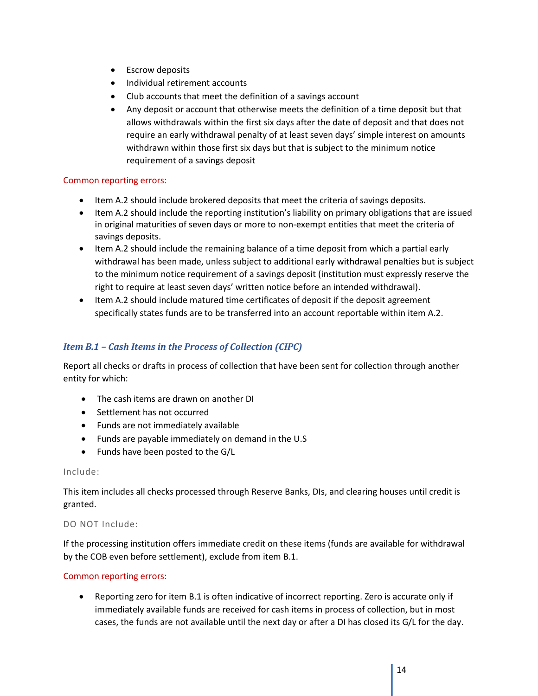- Escrow deposits
- Individual retirement accounts
- Club accounts that meet the definition of a savings account
- Any deposit or account that otherwise meets the definition of a time deposit but that allows withdrawals within the first six days after the date of deposit and that does not require an early withdrawal penalty of at least seven days' simple interest on amounts withdrawn within those first six days but that is subject to the minimum notice requirement of a savings deposit

#### Common reporting errors:

- Item A.2 should include brokered deposits that meet the criteria of savings deposits.
- Item A.2 should include the reporting institution's liability on primary obligations that are issued in original maturities of seven days or more to non-exempt entities that meet the criteria of savings deposits.
- Item A.2 should include the remaining balance of a time deposit from which a partial early withdrawal has been made, unless subject to additional early withdrawal penalties but is subject to the minimum notice requirement of a savings deposit (institution must expressly reserve the right to require at least seven days' written notice before an intended withdrawal).
- Item A.2 should include matured time certificates of deposit if the deposit agreement specifically states funds are to be transferred into an account reportable within item A.2.

#### <span id="page-14-0"></span>*Item B.1 – Cash Items in the Process of Collection (CIPC)*

Report all checks or drafts in process of collection that have been sent for collection through another entity for which:

- The cash items are drawn on another DI
- Settlement has not occurred
- Funds are not immediately available
- Funds are payable immediately on demand in the U.S
- Funds have been posted to the G/L

#### Include:

This item includes all checks processed through Reserve Banks, DIs, and clearing houses until credit is granted.

#### DO NOT Include:

If the processing institution offers immediate credit on these items (funds are available for withdrawal by the COB even before settlement), exclude from item B.1.

#### Common reporting errors:

• Reporting zero for item B.1 is often indicative of incorrect reporting. Zero is accurate only if immediately available funds are received for cash items in process of collection, but in most cases, the funds are not available until the next day or after a DI has closed its G/L for the day.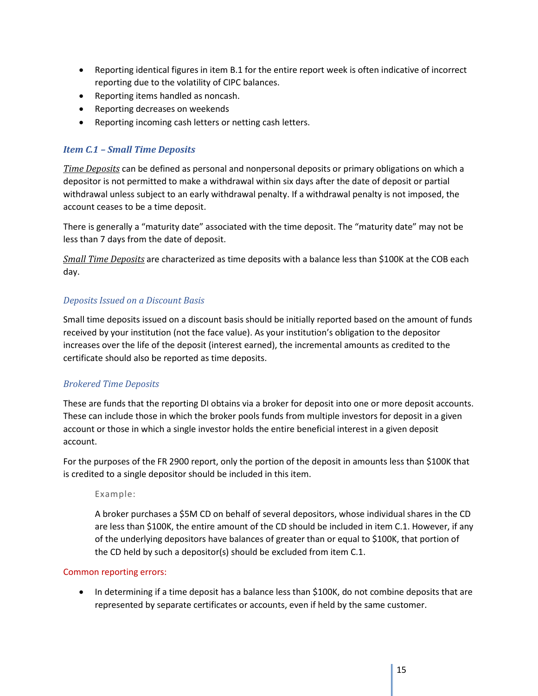- Reporting identical figures in item B.1 for the entire report week is often indicative of incorrect reporting due to the volatility of CIPC balances.
- Reporting items handled as noncash.
- Reporting decreases on weekends
- Reporting incoming cash letters or netting cash letters.

### <span id="page-15-0"></span>*Item C.1 – Small Time Deposits*

*Time Deposits* can be defined as personal and nonpersonal deposits or primary obligations on which a depositor is not permitted to make a withdrawal within six days after the date of deposit or partial withdrawal unless subject to an early withdrawal penalty. If a withdrawal penalty is not imposed, the account ceases to be a time deposit.

There is generally a "maturity date" associated with the time deposit. The "maturity date" may not be less than 7 days from the date of deposit.

*Small Time Deposits* are characterized as time deposits with a balance less than \$100K at the COB each day.

### *Deposits Issued on a Discount Basis*

Small time deposits issued on a discount basis should be initially reported based on the amount of funds received by your institution (not the face value). As your institution's obligation to the depositor increases over the life of the deposit (interest earned), the incremental amounts as credited to the certificate should also be reported as time deposits.

### *Brokered Time Deposits*

These are funds that the reporting DI obtains via a broker for deposit into one or more deposit accounts. These can include those in which the broker pools funds from multiple investors for deposit in a given account or those in which a single investor holds the entire beneficial interest in a given deposit account.

For the purposes of the FR 2900 report, only the portion of the deposit in amounts less than \$100K that is credited to a single depositor should be included in this item.

### Example:

A broker purchases a \$5M CD on behalf of several depositors, whose individual shares in the CD are less than \$100K, the entire amount of the CD should be included in item C.1. However, if any of the underlying depositors have balances of greater than or equal to \$100K, that portion of the CD held by such a depositor(s) should be excluded from item C.1.

### Common reporting errors:

• In determining if a time deposit has a balance less than \$100K, do not combine deposits that are represented by separate certificates or accounts, even if held by the same customer.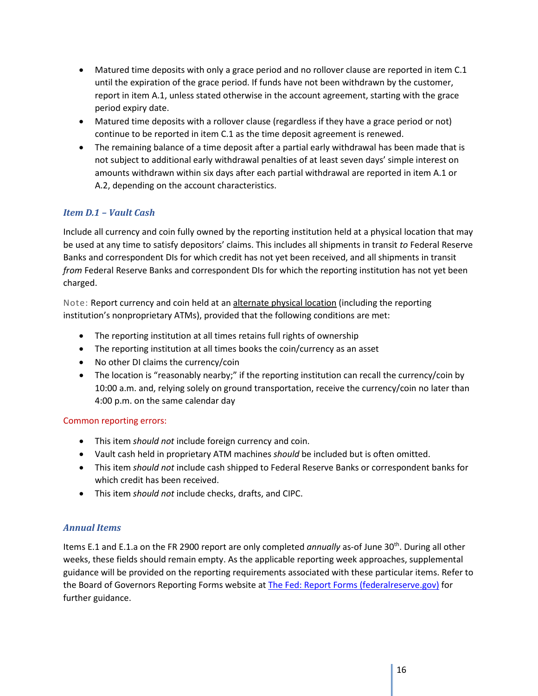- Matured time deposits with only a grace period and no rollover clause are reported in item C.1 until the expiration of the grace period. If funds have not been withdrawn by the customer, report in item A.1, unless stated otherwise in the account agreement, starting with the grace period expiry date.
- Matured time deposits with a rollover clause (regardless if they have a grace period or not) continue to be reported in item C.1 as the time deposit agreement is renewed.
- The remaining balance of a time deposit after a partial early withdrawal has been made that is not subject to additional early withdrawal penalties of at least seven days' simple interest on amounts withdrawn within six days after each partial withdrawal are reported in item A.1 or A.2, depending on the account characteristics.

### <span id="page-16-0"></span>*Item D.1 – Vault Cash*

Include all currency and coin fully owned by the reporting institution held at a physical location that may be used at any time to satisfy depositors' claims. This includes all shipments in transit *to* Federal Reserve Banks and correspondent DIs for which credit has not yet been received, and all shipments in transit *from* Federal Reserve Banks and correspondent DIs for which the reporting institution has not yet been charged.

Note: Report currency and coin held at an alternate physical location (including the reporting institution's nonproprietary ATMs), provided that the following conditions are met:

- The reporting institution at all times retains full rights of ownership
- The reporting institution at all times books the coin/currency as an asset
- No other DI claims the currency/coin
- The location is "reasonably nearby;" if the reporting institution can recall the currency/coin by 10:00 a.m. and, relying solely on ground transportation, receive the currency/coin no later than 4:00 p.m. on the same calendar day

### Common reporting errors:

- This item *should not* include foreign currency and coin.
- Vault cash held in proprietary ATM machines *should* be included but is often omitted.
- This item *should not* include cash shipped to Federal Reserve Banks or correspondent banks for which credit has been received.
- This item *should not* include checks, drafts, and CIPC.

### <span id="page-16-1"></span>*Annual Items*

Items E.1 and E.1.a on the FR 2900 report are only completed *annually* as-of June 30th. During all other weeks, these fields should remain empty. As the applicable reporting week approaches, supplemental guidance will be provided on the reporting requirements associated with these particular items. Refer to the Board of Governors Reporting Forms website at [The Fed: Report Forms \(federalreserve.gov\)](https://www.federalreserve.gov/apps/reportforms/default.aspx) for further guidance.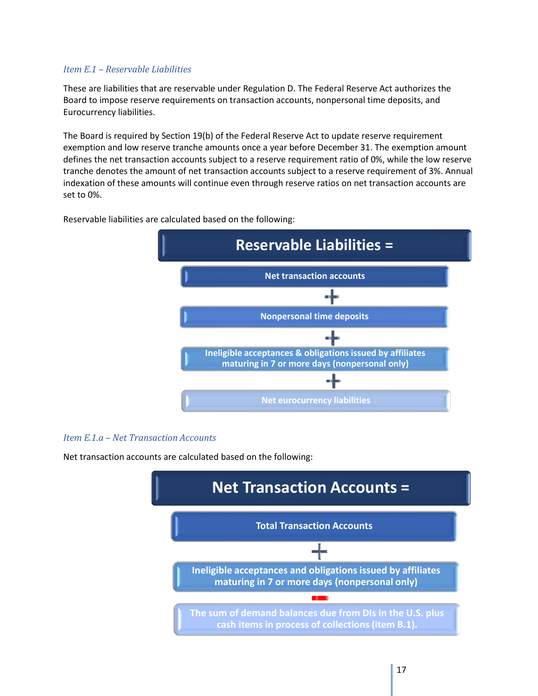#### *Item E.1 – Reservable Liabilities*

These are liabilities that are reservable under Regulation D. The Federal Reserve Act authorizes the Board to impose reserve requirements on transaction accounts, nonpersonal time deposits, and Eurocurrency liabilities.

The Board is required by Section 19(b) of the Federal Reserve Act to update reserve requirement exemption and low reserve tranche amounts once a year before December 31. The exemption amount defines the net transaction accounts subject to a reserve requirement ratio of 0%, while the low reserve tranche denotes the amount of net transaction accounts subject to a reserve requirement of 3%. Annual indexation of these amounts will continue even through reserve ratios on net transaction accounts are set to 0%.



Reservable liabilities are calculated based on the following:

#### *Item E.1.a – Net Transaction Accounts*

Net transaction accounts are calculated based on the following:

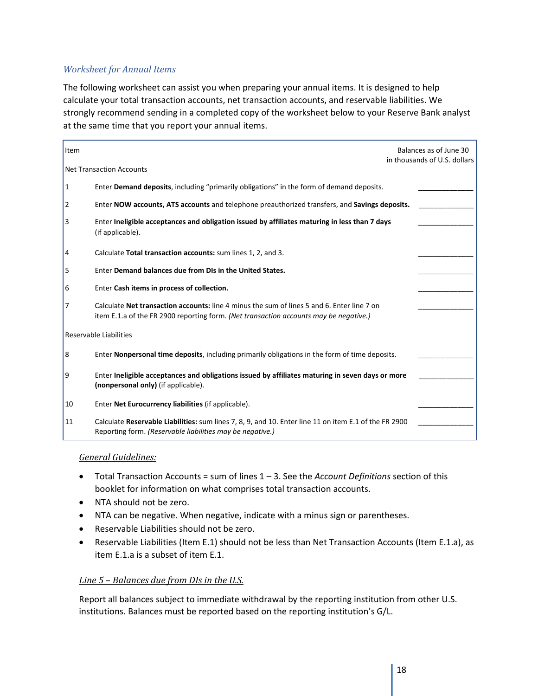### *Worksheet for Annual Items*

The following worksheet can assist you when preparing your annual items. It is designed to help calculate your total transaction accounts, net transaction accounts, and reservable liabilities. We strongly recommend sending in a completed copy of the worksheet below to your Reserve Bank analyst at the same time that you report your annual items.

| Item          |                                                                                                                                                                                     | Balances as of June 30<br>in thousands of U.S. dollars |
|---------------|-------------------------------------------------------------------------------------------------------------------------------------------------------------------------------------|--------------------------------------------------------|
|               | <b>Net Transaction Accounts</b>                                                                                                                                                     |                                                        |
| 1             | Enter Demand deposits, including "primarily obligations" in the form of demand deposits.                                                                                            |                                                        |
| 2             | Enter NOW accounts, ATS accounts and telephone preauthorized transfers, and Savings deposits.                                                                                       |                                                        |
| 3             | Enter Ineligible acceptances and obligation issued by affiliates maturing in less than 7 days<br>(if applicable).                                                                   |                                                        |
| 4             | Calculate Total transaction accounts: sum lines 1, 2, and 3.                                                                                                                        |                                                        |
| 5             | Enter Demand balances due from DIs in the United States.                                                                                                                            |                                                        |
| 6             | Enter Cash items in process of collection.                                                                                                                                          |                                                        |
| 7             | Calculate Net transaction accounts: line 4 minus the sum of lines 5 and 6. Enter line 7 on<br>item E.1.a of the FR 2900 reporting form. (Net transaction accounts may be negative.) |                                                        |
|               | Reservable Liabilities                                                                                                                                                              |                                                        |
| 8             | Enter Nonpersonal time deposits, including primarily obligations in the form of time deposits.                                                                                      |                                                        |
| 9             | Enter Ineligible acceptances and obligations issued by affiliates maturing in seven days or more<br>(nonpersonal only) (if applicable).                                             |                                                        |
| 10            | Enter Net Eurocurrency liabilities (if applicable).                                                                                                                                 |                                                        |
| <sup>11</sup> | Calculate Reservable Liabilities: sum lines 7, 8, 9, and 10. Enter line 11 on item E.1 of the FR 2900<br>Reporting form. (Reservable liabilities may be negative.)                  |                                                        |

#### *General Guidelines:*

- Total Transaction Accounts = sum of lines 1 3. See the *Account Definitions* section of this booklet for information on what comprises total transaction accounts.
- NTA should not be zero.
- NTA can be negative. When negative, indicate with a minus sign or parentheses.
- Reservable Liabilities should not be zero.
- Reservable Liabilities (Item E.1) should not be less than Net Transaction Accounts (Item E.1.a), as item E.1.a is a subset of item E.1.

#### *Line 5 – Balances due from DIs in the U.S.*

Report all balances subject to immediate withdrawal by the reporting institution from other U.S. institutions. Balances must be reported based on the reporting institution's G/L.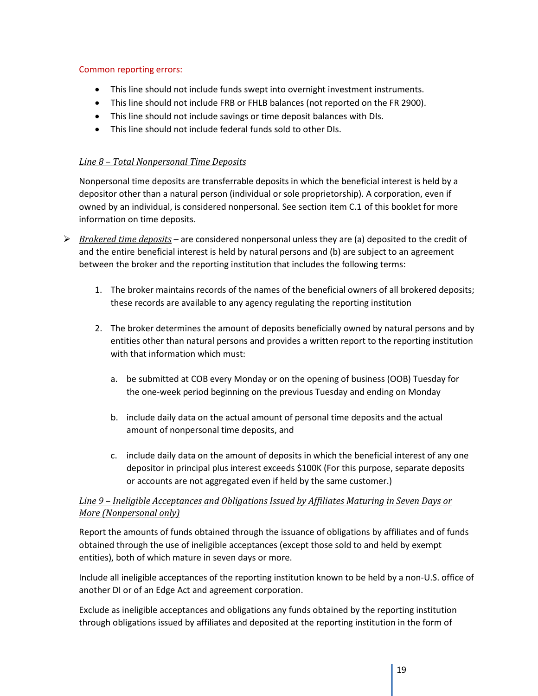#### Common reporting errors:

- This line should not include funds swept into overnight investment instruments.
- This line should not include FRB or FHLB balances (not reported on the FR 2900).
- This line should not include savings or time deposit balances with DIs.
- This line should not include federal funds sold to other DIs.

### *Line 8 – Total Nonpersonal Time Deposits*

Nonpersonal time deposits are transferrable deposits in which the beneficial interest is held by a depositor other than a natural person (individual or sole proprietorship). A corporation, even if owned by an individual, is considered nonpersonal. See section item C.1 of this booklet for more information on time deposits.

- *Brokered time deposits* are considered nonpersonal unless they are (a) deposited to the credit of and the entire beneficial interest is held by natural persons and (b) are subject to an agreement between the broker and the reporting institution that includes the following terms:
	- 1. The broker maintains records of the names of the beneficial owners of all brokered deposits; these records are available to any agency regulating the reporting institution
	- 2. The broker determines the amount of deposits beneficially owned by natural persons and by entities other than natural persons and provides a written report to the reporting institution with that information which must:
		- a. be submitted at COB every Monday or on the opening of business (OOB) Tuesday for the one-week period beginning on the previous Tuesday and ending on Monday
		- b. include daily data on the actual amount of personal time deposits and the actual amount of nonpersonal time deposits, and
		- c. include daily data on the amount of deposits in which the beneficial interest of any one depositor in principal plus interest exceeds \$100K (For this purpose, separate deposits or accounts are not aggregated even if held by the same customer.)

### *Line 9 – Ineligible Acceptances and Obligations Issued by Affiliates Maturing in Seven Days or More (Nonpersonal only)*

Report the amounts of funds obtained through the issuance of obligations by affiliates and of funds obtained through the use of ineligible acceptances (except those sold to and held by exempt entities), both of which mature in seven days or more.

Include all ineligible acceptances of the reporting institution known to be held by a non-U.S. office of another DI or of an Edge Act and agreement corporation.

Exclude as ineligible acceptances and obligations any funds obtained by the reporting institution through obligations issued by affiliates and deposited at the reporting institution in the form of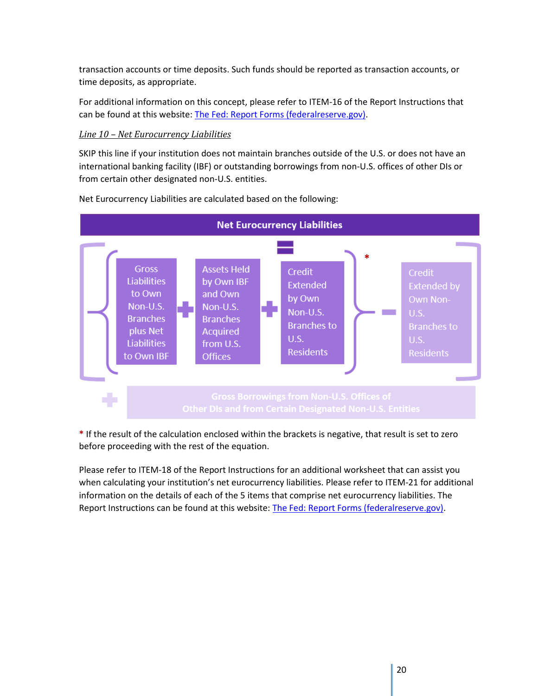transaction accounts or time deposits. Such funds should be reported as transaction accounts, or time deposits, as appropriate.

For additional information on this concept, please refer to ITEM-16 of the Report Instructions that can be found at this website[: The Fed: Report Forms \(federalreserve.gov\).](https://www.federalreserve.gov/apps/reportforms/default.aspx)

### *Line 10 – Net Eurocurrency Liabilities*

SKIP this line if your institution does not maintain branches outside of the U.S. or does not have an international banking facility (IBF) or outstanding borrowings from non-U.S. offices of other DIs or from certain other designated non-U.S. entities.



Net Eurocurrency Liabilities are calculated based on the following:

**\*** If the result of the calculation enclosed within the brackets is negative, that result is set to zero before proceeding with the rest of the equation.

Please refer to ITEM-18 of the Report Instructions for an additional worksheet that can assist you when calculating your institution's net eurocurrency liabilities. Please refer to ITEM-21 for additional information on the details of each of the 5 items that comprise net eurocurrency liabilities. The Report Instructions can be found at this website: [The Fed: Report Forms \(federalreserve.gov\).](https://www.federalreserve.gov/apps/reportforms/default.aspx)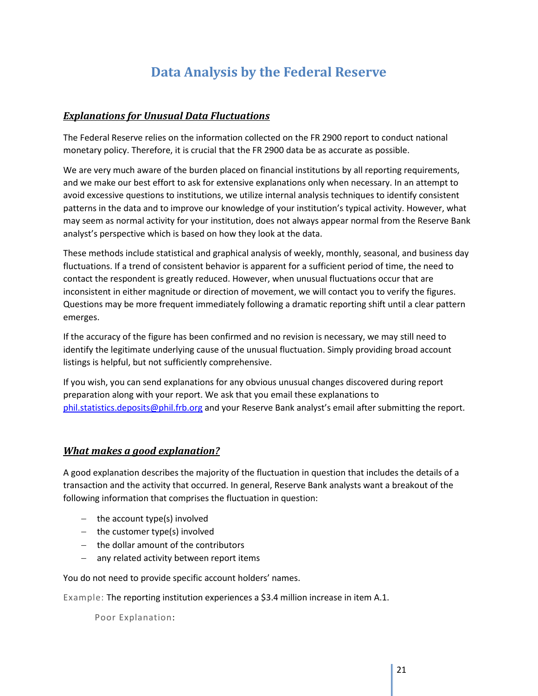## **Data Analysis by the Federal Reserve**

### <span id="page-21-1"></span><span id="page-21-0"></span>*Explanations for Unusual Data Fluctuations*

The Federal Reserve relies on the information collected on the FR 2900 report to conduct national monetary policy. Therefore, it is crucial that the FR 2900 data be as accurate as possible.

We are very much aware of the burden placed on financial institutions by all reporting requirements, and we make our best effort to ask for extensive explanations only when necessary. In an attempt to avoid excessive questions to institutions, we utilize internal analysis techniques to identify consistent patterns in the data and to improve our knowledge of your institution's typical activity. However, what may seem as normal activity for your institution, does not always appear normal from the Reserve Bank analyst's perspective which is based on how they look at the data.

These methods include statistical and graphical analysis of weekly, monthly, seasonal, and business day fluctuations. If a trend of consistent behavior is apparent for a sufficient period of time, the need to contact the respondent is greatly reduced. However, when unusual fluctuations occur that are inconsistent in either magnitude or direction of movement, we will contact you to verify the figures. Questions may be more frequent immediately following a dramatic reporting shift until a clear pattern emerges.

If the accuracy of the figure has been confirmed and no revision is necessary, we may still need to identify the legitimate underlying cause of the unusual fluctuation. Simply providing broad account listings is helpful, but not sufficiently comprehensive.

If you wish, you can send explanations for any obvious unusual changes discovered during report preparation along with your report. We ask that you email these explanations to [phil.statistics.deposits@phil.frb.org](mailto:phil.statistics.deposits@phil.frb.org) and your Reserve Bank analyst's email after submitting the report.

### <span id="page-21-2"></span>*What makes a good explanation?*

A good explanation describes the majority of the fluctuation in question that includes the details of a transaction and the activity that occurred. In general, Reserve Bank analysts want a breakout of the following information that comprises the fluctuation in question:

- − the account type(s) involved
- − the customer type(s) involved
- − the dollar amount of the contributors
- − any related activity between report items

You do not need to provide specific account holders' names.

Example: The reporting institution experiences a \$3.4 million increase in item A.1.

Poor Explanation: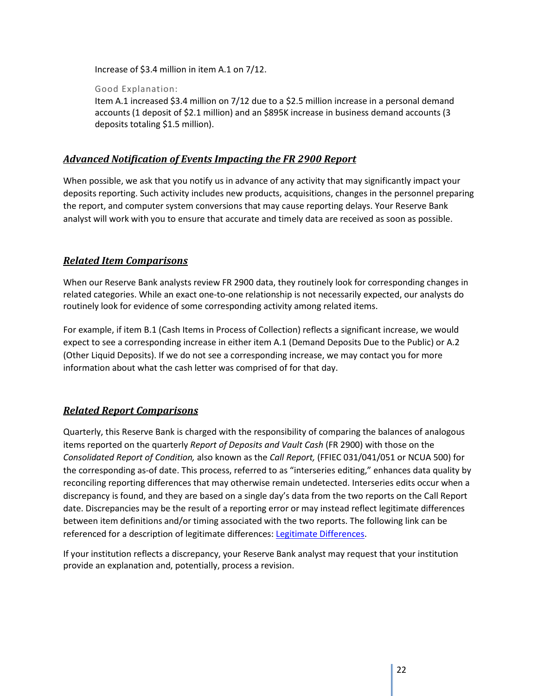Increase of \$3.4 million in item A.1 on 7/12.

Good Explanation:

Item A.1 increased \$3.4 million on 7/12 due to a \$2.5 million increase in a personal demand accounts (1 deposit of \$2.1 million) and an \$895K increase in business demand accounts (3 deposits totaling \$1.5 million).

### <span id="page-22-0"></span>*Advanced Notification of Events Impacting the FR 2900 Report*

When possible, we ask that you notify us in advance of any activity that may significantly impact your deposits reporting. Such activity includes new products, acquisitions, changes in the personnel preparing the report, and computer system conversions that may cause reporting delays. Your Reserve Bank analyst will work with you to ensure that accurate and timely data are received as soon as possible.

### <span id="page-22-1"></span>*Related Item Comparisons*

When our Reserve Bank analysts review FR 2900 data, they routinely look for corresponding changes in related categories. While an exact one-to-one relationship is not necessarily expected, our analysts do routinely look for evidence of some corresponding activity among related items.

For example, if item B.1 (Cash Items in Process of Collection) reflects a significant increase, we would expect to see a corresponding increase in either item A.1 (Demand Deposits Due to the Public) or A.2 (Other Liquid Deposits). If we do not see a corresponding increase, we may contact you for more information about what the cash letter was comprised of for that day.

### <span id="page-22-2"></span>*Related Report Comparisons*

Quarterly, this Reserve Bank is charged with the responsibility of comparing the balances of analogous items reported on the quarterly *Report of Deposits and Vault Cash* (FR 2900) with those on the *Consolidated Report of Condition,* also known as the *Call Report,* (FFIEC 031/041/051 or NCUA 500) for the corresponding as-of date. This process, referred to as "interseries editing," enhances data quality by reconciling reporting differences that may otherwise remain undetected. Interseries edits occur when a discrepancy is found, and they are based on a single day's data from the two reports on the Call Report date. Discrepancies may be the result of a reporting error or may instead reflect legitimate differences between item definitions and/or timing associated with the two reports. The following link can be referenced for a description of legitimate differences: [Legitimate Differences.](https://www.federalreserve.gov/apps/reportforms/auxiliary.aspx?sOoYJ+5BzDblI7g2+r203S0gg6NcUIj6)

If your institution reflects a discrepancy, your Reserve Bank analyst may request that your institution provide an explanation and, potentially, process a revision.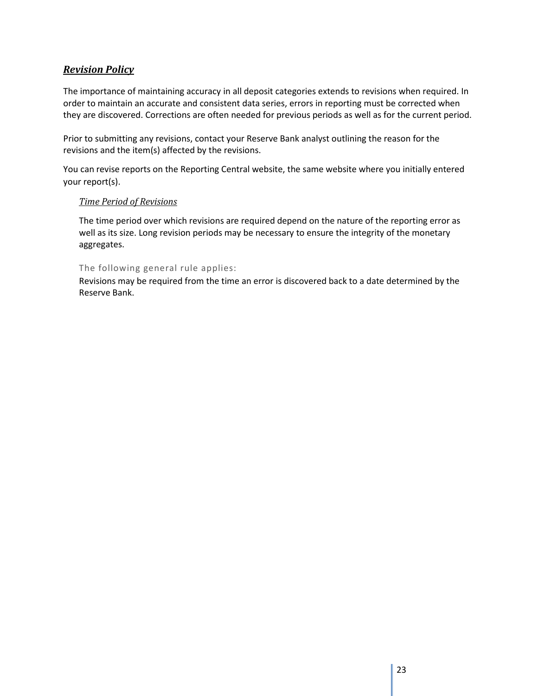### <span id="page-23-0"></span>*Revision Policy*

The importance of maintaining accuracy in all deposit categories extends to revisions when required. In order to maintain an accurate and consistent data series, errors in reporting must be corrected when they are discovered. Corrections are often needed for previous periods as well as for the current period.

Prior to submitting any revisions, contact your Reserve Bank analyst outlining the reason for the revisions and the item(s) affected by the revisions.

You can revise reports on the Reporting Central website, the same website where you initially entered your report(s).

#### *Time Period of Revisions*

The time period over which revisions are required depend on the nature of the reporting error as well as its size. Long revision periods may be necessary to ensure the integrity of the monetary aggregates.

### The following general rule applies:

Revisions may be required from the time an error is discovered back to a date determined by the Reserve Bank.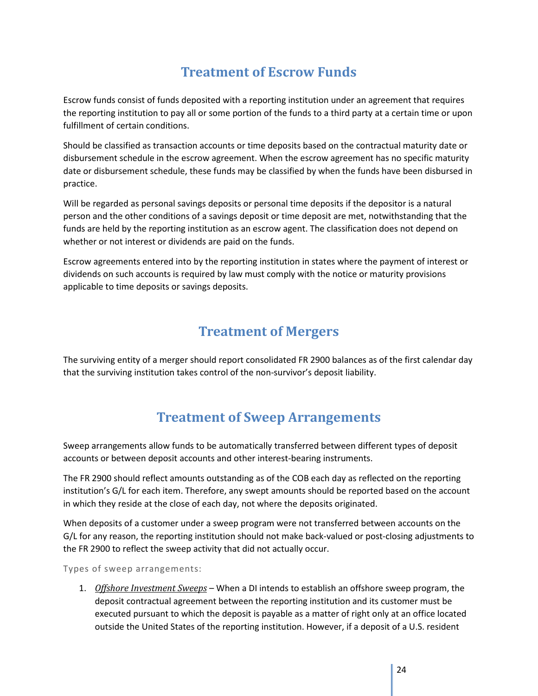## **Treatment of Escrow Funds**

<span id="page-24-0"></span>Escrow funds consist of funds deposited with a reporting institution under an agreement that requires the reporting institution to pay all or some portion of the funds to a third party at a certain time or upon fulfillment of certain conditions.

Should be classified as transaction accounts or time deposits based on the contractual maturity date or disbursement schedule in the escrow agreement. When the escrow agreement has no specific maturity date or disbursement schedule, these funds may be classified by when the funds have been disbursed in practice.

Will be regarded as personal savings deposits or personal time deposits if the depositor is a natural person and the other conditions of a savings deposit or time deposit are met, notwithstanding that the funds are held by the reporting institution as an escrow agent. The classification does not depend on whether or not interest or dividends are paid on the funds.

Escrow agreements entered into by the reporting institution in states where the payment of interest or dividends on such accounts is required by law must comply with the notice or maturity provisions applicable to time deposits or savings deposits.

## **Treatment of Mergers**

<span id="page-24-1"></span>The surviving entity of a merger should report consolidated FR 2900 balances as of the first calendar day that the surviving institution takes control of the non-survivor's deposit liability.

## **Treatment of Sweep Arrangements**

<span id="page-24-2"></span>Sweep arrangements allow funds to be automatically transferred between different types of deposit accounts or between deposit accounts and other interest-bearing instruments.

The FR 2900 should reflect amounts outstanding as of the COB each day as reflected on the reporting institution's G/L for each item. Therefore, any swept amounts should be reported based on the account in which they reside at the close of each day, not where the deposits originated.

When deposits of a customer under a sweep program were not transferred between accounts on the G/L for any reason, the reporting institution should not make back-valued or post-closing adjustments to the FR 2900 to reflect the sweep activity that did not actually occur.

Types of sweep arrangements:

1. *Offshore Investment Sweeps* – When a DI intends to establish an offshore sweep program, the deposit contractual agreement between the reporting institution and its customer must be executed pursuant to which the deposit is payable as a matter of right only at an office located outside the United States of the reporting institution. However, if a deposit of a U.S. resident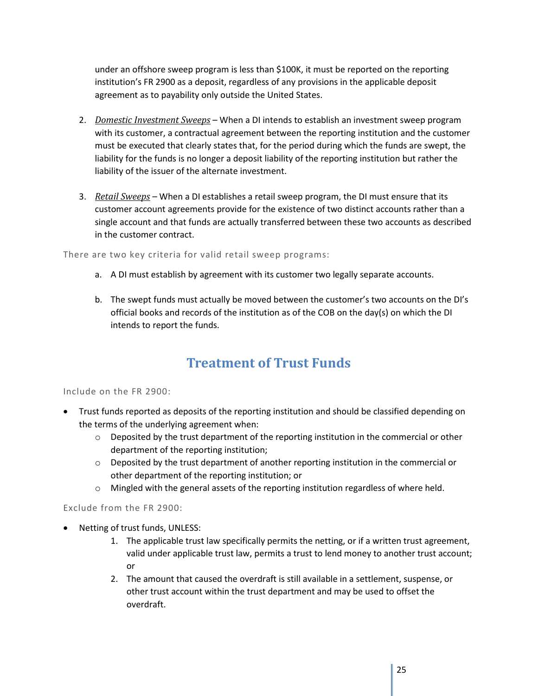under an offshore sweep program is less than \$100K, it must be reported on the reporting institution's FR 2900 as a deposit, regardless of any provisions in the applicable deposit agreement as to payability only outside the United States.

- 2. *Domestic Investment Sweeps* When a DI intends to establish an investment sweep program with its customer, a contractual agreement between the reporting institution and the customer must be executed that clearly states that, for the period during which the funds are swept, the liability for the funds is no longer a deposit liability of the reporting institution but rather the liability of the issuer of the alternate investment.
- 3. *Retail Sweeps –* When a DI establishes a retail sweep program, the DI must ensure that its customer account agreements provide for the existence of two distinct accounts rather than a single account and that funds are actually transferred between these two accounts as described in the customer contract.

There are two key criteria for valid retail sweep programs:

- a. A DI must establish by agreement with its customer two legally separate accounts.
- b. The swept funds must actually be moved between the customer's two accounts on the DI's official books and records of the institution as of the COB on the day(s) on which the DI intends to report the funds.

## **Treatment of Trust Funds**

#### <span id="page-25-0"></span>Include on the FR 2900:

- Trust funds reported as deposits of the reporting institution and should be classified depending on the terms of the underlying agreement when:
	- $\circ$  Deposited by the trust department of the reporting institution in the commercial or other department of the reporting institution;
	- $\circ$  Deposited by the trust department of another reporting institution in the commercial or other department of the reporting institution; or
	- $\circ$  Mingled with the general assets of the reporting institution regardless of where held.

Exclude from the FR 2900:

- Netting of trust funds, UNLESS:
	- 1. The applicable trust law specifically permits the netting, or if a written trust agreement, valid under applicable trust law, permits a trust to lend money to another trust account; or
	- 2. The amount that caused the overdraft is still available in a settlement, suspense, or other trust account within the trust department and may be used to offset the overdraft.